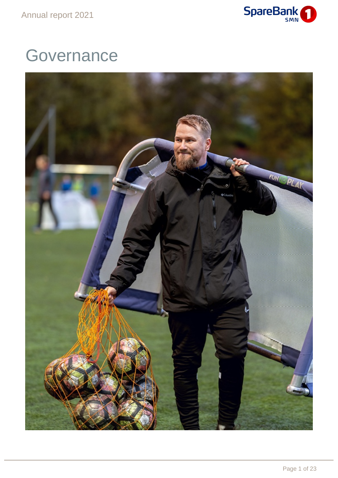

# **Governance**

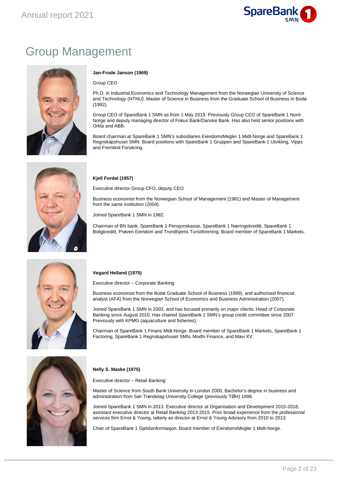

# Group Management



#### **Jan-Frode Janson (1969)**

Group CEO

Ph.D. in Industrial Economics and Technology Management from the Norwegian University of Science and Technology (NTNU). Master of Science in Business from the Graduate School of Business in Bodø (1992).

Group CEO of SpareBank 1 SMN as from 1 May 2019. Previously Group CEO of SpareBank 1 Nord-Norge and deputy managing director of Fokus Bank/Danske Bank. Has also held senior positions with Orkla and ABB.

Board chairman at SpareBank 1 SMN's subsidiaries EiendomsMegler 1 Midt-Norge and SpareBank 1 Regnskapshuset SMN. Board positions with SpareBank 1 Gruppen and SpareBank 1 Utvikling, Vipps and Fremtind Forsikring.

#### **Kjell Fordal (1957)**

Executive director Group CFO, deputy CEO

Business economist from the Norwegian School of Management (1981) and Master of Management from the same institution (2004).

Joined SpareBank 1 SMN in 1982.

Chairman of BN bank, SpareBank 1 Pensjonskasse, SpareBank 1 Næringskreditt, SpareBank 1 Boligkreditt, Prøven Eiendom and Trondhjems Turistforening. Board member of SpareBank 1 Markets.



#### **Vegard Helland (1975)**

Executive director – Corporate Banking

Business economist from the Bodø Graduate School of Business (1999), and authorised financial analyst (AFA) from the Norwegian School of Economics and Business Administration (2007).

Joined SpareBank 1 SMN in 2003, and has focused primarily on major clients. Head of Corporate Banking since August 2010. Has chaired SpareBank 1 SMN's group credit committee since 2007. Previously with KPMG (aquaculture and fisheries).

Chairman of SpareBank 1 Finans Midt-Norge. Board member of SpareBank 1 Markets, SpareBank 1 Factoring, SpareBank 1 Regnskapshuset SMN, Modhi Finance, and Mavi XV.



#### **Nelly S. Maske (1975)**

Executive director – Retail Banking

Master of Science from South Bank University in London 2000, Bachelor's degree in business and administration from Sør-Trøndelag University College (previously TØH) 1998.

Joined SpareBank 1 SMN in 2013. Executive director at Organisation and Development 2015-2018, assistant executive director at Retail Banking 2013-2015. Prior broad experience from the professional services firm Ernst & Young, latterly as director at Ernst & Young Advisory from 2010 to 2013.

Chair of SpareBank 1 Gjeldsinformasjon. Board member of EiendomsMegler 1 Midt-Norge.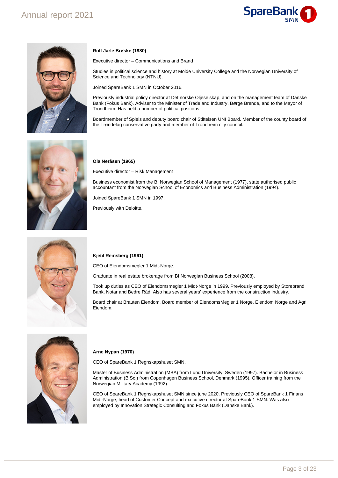



#### **Rolf Jarle Brøske (1980)**

Executive director – Communications and Brand

Studies in political science and history at Molde University College and the Norwegian University of Science and Technology (NTNU).

Joined SpareBank 1 SMN in October 2016.

Previously industrial policy director at Det norske Oljeselskap, and on the management team of Danske Bank (Fokus Bank). Adviser to the Minister of Trade and Industry, Børge Brende, and to the Mayor of Trondheim. Has held a number of political positions.

Boardmember of Spleis and deputy board chair of Stiftelsen UNI Board. Member of the county board of the Trøndelag conservative party and member of Trondheim city council.



#### **Ola Neråsen (1965)**

Executive director – Risk Management

Business economist from the BI Norwegian School of Management (1977), state authorised public accountant from the Norwegian School of Economics and Business Administration (1994).

Joined SpareBank 1 SMN in 1997.

Previously with Deloitte.



#### **Kjetil Reinsberg (1961)**

CEO of Eiendomsmegler 1 Midt-Norge.

Graduate in real estate brokerage from BI Norwegian Business School (2008).

Took up duties as CEO of Eiendomsmegler 1 Midt-Norge in 1999. Previously employed by Storebrand Bank, Notar and Bedre Råd. Also has several years' experience from the construction industry.

Board chair at Brauten Eiendom. Board member of EiendomsMegler 1 Norge, Eiendom Norge and Agri Eiendom.



#### **Arne Nypan (1970)**

CEO of SpareBank 1 Regnskapshuset SMN.

Master of Business Administration (MBA) from Lund University, Sweden (1997). Bachelor in Business Administration (B,Sc.) from Copenhagen Business School, Denmark (1995), Officer training from the Norwegian Military Academy (1992).

CEO of SpareBank 1 Regnskapshuset SMN since june 2020. Previously CEO of SpareBank 1 Finans Midt-Norge, head of Customer Concept and executive director at SpareBank 1 SMN. Was also employed by Innovation Strategic Consulting and Fokus Bank (Danske Bank).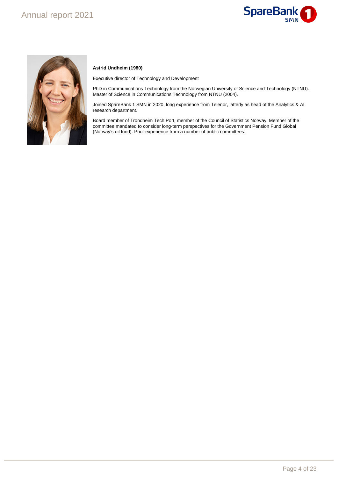# Annual report 2021





#### **Astrid Undheim (1980)**

Executive director of Technology and Development

PhD in Communications Technology from the Norwegian University of Science and Technology (NTNU). Master of Science in Communications Technology from NTNU (2004).

Joined SpareBank 1 SMN in 2020, long experience from Telenor, latterly as head of the Analytics & AI research department.

Board member of Trondheim Tech Port, member of the Council of Statistics Norway. Member of the committee mandated to consider long-term perspectives for the Government Pension Fund Global (Norway's oil fund). Prior experience from a number of public committees.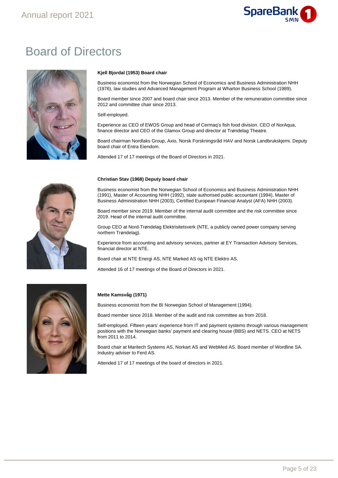

# Board of Directors



#### **Kjell Bjordal (1953) Board chair**

Business economist from the Norwegian School of Economics and Business Administration NHH (1976), law studies and Advanced Management Program at Wharton Business School (1989).

Board member since 2007 and board chair since 2013. Member of the remuneration committee since 2012 and committee chair since 2013.

Self-employed.

Experience as CEO of EWOS Group and head of Cermaq's fish food division. CEO of NorAqua, finance director and CEO of the Glamox Group and director at Trøndelag Theatre.

Board chairman Nordlaks Group, Axio, Norsk Forskningsråd HAV and Norsk Landbrukskjemi. Deputy board chair of Entra Eiendom.

Attended 17 of 17 meetings of the Board of Directors in 2021.



#### **Christian Stav (1968) Deputy board chair**

Business economist from the Norwegian School of Economics and Business Administration NHH (1991), Master of Accounting NHH (1992), state authorised public accountant (1994), Master of Business Administration NHH (2003), Certified European Financial Analyst (AFA) NHH (2003).

Board member since 2019. Member of the internal audit committee and the risk committee since 2019. Head of the internal audit committee.

Group CEO at Nord-Trøndelag Elektrisitetsverk (NTE, a publicly owned power company serving northern Trøndelag).

Experience from accounting and advisory services, partner at EY Transaction Advisory Services, financial director at NTE.

Board chair at NTE Energi AS, NTE Marked AS og NTE Elektro AS.

Attended 16 of 17 meetings of the Board of Directors in 2021.



#### **Mette Kamsvåg (1971)**

Business economist from the BI Norwegian School of Management (1994).

Board member since 2018. Member of the audit and risk committee as from 2018.

Self-employed. Fifteen years' experience from IT and payment systems through various management positions with the Norwegian banks' payment and clearing house (BBS) and NETS. CEO at NETS from 2011 to 2014.

Board chair at Maritech Systems AS, Norkart AS and WebMed AS. Board member of Wordline SA. Industry adviser to Ferd AS.

Attended 17 of 17 meetings of the board of directors in 2021.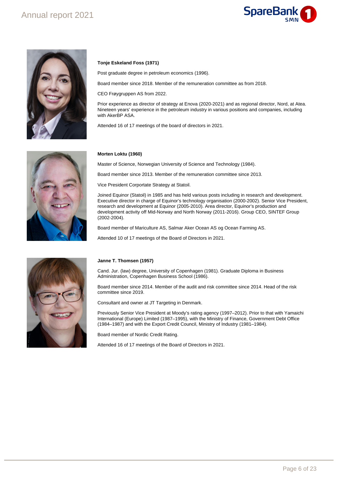## Annual report 2021





#### **Tonje Eskeland Foss (1971)**

Post graduate degree in petroleum economics (1996).

Board member since 2018. Member of the remuneration committee as from 2018.

CEO Frøygruppen AS from 2022.

Prior experience as director of strategy at Enova (2020-2021) and as regional director, Nord, at Atea. Nineteen years' experience in the petroleum industry in various positions and companies, including with AkerBP ASA.

Attended 16 of 17 meetings of the board of directors in 2021.



#### **Morten Loktu (1960)**

Master of Science, Norwegian University of Science and Technology (1984).

Board member since 2013. Member of the remuneration committee since 2013.

Vice President Corportate Strategy at Statoil.

Joined Equinor (Statoil) in 1985 and has held various posts including in research and development. Executive director in charge of Equinor's technology organisation (2000-2002). Senior Vice President, research and development at Equinor (2005-2010). Area director, Equinor's production and development activity off Mid-Norway and North Norway (2011-2016). Group CEO, SINTEF Group (2002-2004).

Board member of Mariculture AS, Salmar Aker Ocean AS og Ocean Farming AS.

Attended 10 of 17 meetings of the Board of Directors in 2021.



#### **Janne T. Thomsen (1957)**

Cand. Jur. (law) degree, University of Copenhagen (1981). Graduate Diploma in Business Administration, Copenhagen Business School (1986).

Board member since 2014. Member of the audit and risk committee since 2014. Head of the risk committee since 2019.

Consultant and owner at JT Targeting in Denmark.

Previously Senior Vice President at Moody's rating agency (1997–2012). Prior to that with Yamaichi International (Europe) Limited (1987–1995), with the Ministry of Finance, Government Debt Office (1984–1987) and with the Export Credit Council, Ministry of Industry (1981–1984).

Board member of Nordic Credit Rating.

Attended 16 of 17 meetings of the Board of Directors in 2021.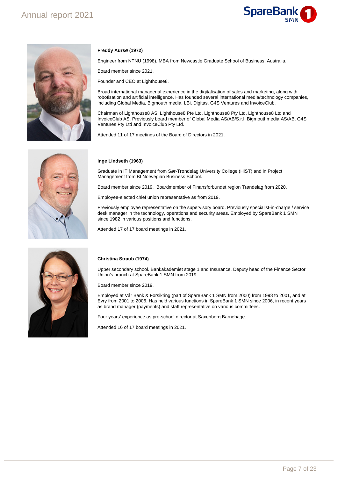# Annual report 2021

# **SpareBank**



#### **Freddy Aursø (1972)**

Engineer from NTNU (1998). MBA from Newcastle Graduate School of Business, Australia.

Board member since 2021.

Founder and CEO at Lighthouse8.

Broad international managerial experience in the digitalisation of sales and marketing, along with robotisation and artificial intelligence. Has founded several international media/technology companies, including Global Media, Bigmouth media, LBi, Digitas, G4S Ventures and InvoiceClub.

Chairman of Lighthouse8 AS, Lighthouse8 Pte Ltd, Lighthouse8 Pty Ltd, Lighthouse8 Ltd and InvoiceClub AS. Previously board member of Global Media AS/AB/S.r.l, Bigmouthmedia AS/AB, G4S Ventures Pty Ltd and InvoiceClub Pty Ltd.

Attended 11 of 17 meetings of the Board of Directors in 2021.



#### **Inge Lindseth (1963)**

Graduate in IT Management from Sør-Trøndelag University College (HiST) and in Project Management from BI Norwegian Business School.

Board member since 2019. Boardmember of Finansforbundet region Trøndelag from 2020.

Employee-elected chief union representative as from 2019.

Previously employee representative on the supervisory board. Previously specialist-in-charge / service desk manager in the technology, operations and security areas. Employed by SpareBank 1 SMN since 1982 in various positions and functions.

Attended 17 of 17 board meetings in 2021.



#### **Christina Straub (1974)**

Upper secondary school. Bankakademiet stage 1 and Insurance. Deputy head of the Finance Sector Union's branch at SpareBank 1 SMN from 2019.

Board member since 2019.

Employed at Vår Bank & Forsikring (part of SpareBank 1 SMN from 2000) from 1998 to 2001, and at Evry from 2001 to 2006. Has held various functions in SpareBank 1 SMN since 2006, in recent years as brand manager (payments) and staff representative on various committees.

Four years' experience as pre-school director at Saxenborg Barnehage.

Attended 16 of 17 board meetings in 2021.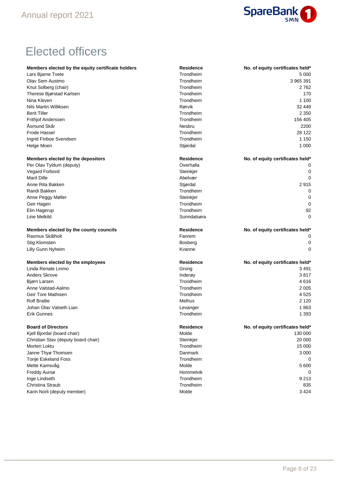

# Elected officers

| Members elected by the equity certificate holders | Residence        | No. of equity certificates held* |
|---------------------------------------------------|------------------|----------------------------------|
| Lars Bjarne Tvete                                 | Trondheim        | 5 0 0 0                          |
| Olav Sem Austmo                                   | Trondheim        | 3 965 391                        |
| Knut Solberg (chair)                              | Trondheim        | 2762                             |
| Therese Bjørstad Karlsen                          | Trondheim        | 170                              |
| Nina Kleven                                       | Trondheim        | 1 100                            |
| Nils Martin Williksen                             | Rørvik           | 32 449                           |
| <b>Berit Tiller</b>                               | Trondheim        | 2 3 5 0                          |
| Frithjof Anderssen                                | Trondheim        | 156 405                          |
| Åsmund Skår                                       | <b>Nesbru</b>    | 2200                             |
| <b>Frode Hassel</b>                               | Trondheim        | 28 122                           |
| Ingrid Finboe Svendsen                            | Trondheim        | 1 1 5 0                          |
| Helge Moen                                        | Stjørdal         | 1 0 0 0                          |
| Members elected by the depositors                 | <b>Residence</b> | No. of equity certificates held* |
| Per Olav Tyldum (deputy)                          | Overhalla        |                                  |
| Vegard Forbord                                    | Steinkjer        | 0                                |
| <b>Marit Dille</b>                                | Abelvær          | 0                                |
| Anne Rita Bakken                                  | Stjørdal         | 2915                             |
| Randi Bakken                                      | Trondheim        | 0                                |
| Anne Peggy Møller                                 | Steinkjer        | 0                                |
| Geir Hagen                                        | Trondheim        | 0                                |
| Elin Hagerup                                      | Trondheim        | 92                               |
| Line Melkild                                      | Sunndalsøra      | 0                                |
| Members elected by the county councils            | <b>Residence</b> | No. of equity certificates held* |
| Rasmus Skålholt                                   | Fanrem           | 0                                |
| <b>Stig Klomsten</b>                              | <b>Bosberg</b>   | 0                                |
| Lilly Gunn Nyheim                                 | Kvanne           | 0                                |
| Members elected by the employees                  | <b>Residence</b> | No. of equity certificates held* |
| Linda Renate Linmo                                | Grong            | 3491                             |
| <b>Anders Skrove</b>                              | Inderøy          | 3817                             |
| Bjørn Larsen                                      | Trondheim        | 4616                             |
| Anne Valstad-Aalmo                                | Trondheim        | 2 0 0 5                          |
| Geir Tore Mathisen                                | Trondheim        | 4 5 2 5                          |
| <b>Rolf Bratlie</b>                               | Melhus           | 2 1 2 0                          |
| Johan Olav Valseth Lian                           | Levanger         | 1863                             |
| <b>Erik Gunnes</b>                                | Trondheim        | 1 3 9 3                          |
| <b>Board of Directors</b>                         | <b>Residence</b> | No. of equity certificates held* |
| Kjell Bjordal (board chair)                       | Molde            | 130 000                          |
| Christian Stav (deputy board chair)               | Steinkjer        | 20 000                           |
| Morten Loktu                                      | Trondheim        | 15 000                           |
| Janne Thyø Thomsen                                | Danmark          | 3 0 0 0                          |
| Tonje Eskeland Foss                               | Trondheim        | 0                                |
| Mette Kamsvåg                                     | Molde            | 5 600                            |
| Freddy Aursø                                      | Hommelvik        | 0                                |
| Inge Lindseth                                     | Trondheim        | 9 2 1 3                          |
| Christina Straub                                  | Trondheim        | 835                              |
| Karin Norli (deputy member)                       | Molde            | 3 4 2 4                          |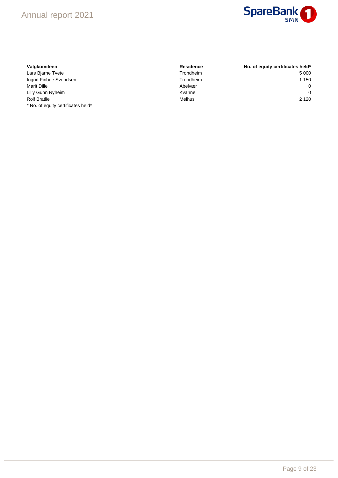# Annual report 2021



#### $Valg$ komiteen

\* No. of equity certificates held\*

| Valgkomiteen           | <b>Residence</b> | No. of equity certificates held* |
|------------------------|------------------|----------------------------------|
| Lars Bjarne Tvete      | Trondheim        | 5 000                            |
| Ingrid Finboe Svendsen | Trondheim        | 1 1 5 0                          |
| <b>Marit Dille</b>     | Abelvær          | $\Omega$                         |
| Lilly Gunn Nyheim      | Kvanne           | $\Omega$                         |
| <b>Rolf Bratlie</b>    | <b>Melhus</b>    | 2 1 2 0                          |
|                        |                  |                                  |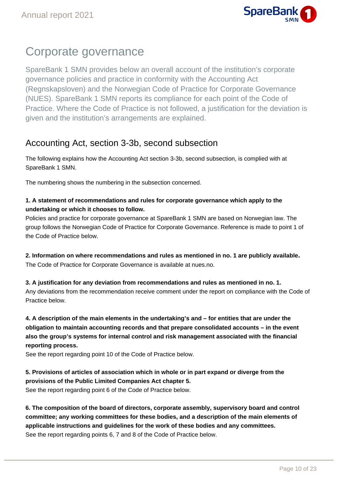

# Corporate governance

SpareBank 1 SMN provides below an overall account of the institution's corporate governance policies and practice in conformity with the Accounting Act (Regnskapsloven) and the Norwegian Code of Practice for Corporate Governance (NUES). SpareBank 1 SMN reports its compliance for each point of the Code of Practice. Where the Code of Practice is not followed, a justification for the deviation is given and the institution's arrangements are explained.

# Accounting Act, section 3-3b, second subsection

The following explains how the Accounting Act section 3-3b, second subsection, is complied with at SpareBank 1 SMN.

The numbering shows the numbering in the subsection concerned.

#### **1. A statement of recommendations and rules for corporate governance which apply to the undertaking or which it chooses to follow.**

Policies and practice for corporate governance at SpareBank 1 SMN are based on Norwegian law. The group follows the Norwegian Code of Practice for Corporate Governance. Reference is made to point 1 of the Code of Practice below.

**2. Information on where recommendations and rules as mentioned in no. 1 are publicly available.** The Code of Practice for Corporate Governance is available at nues.no.

**3. A justification for any deviation from recommendations and rules as mentioned in no. 1.** Any deviations from the recommendation receive comment under the report on compliance with the Code of Practice below.

**4. A description of the main elements in the undertaking's and – for entities that are under the obligation to maintain accounting records and that prepare consolidated accounts – in the event also the group's systems for internal control and risk management associated with the financial reporting process.**

See the report regarding point 10 of the Code of Practice below.

**5. Provisions of articles of association which in whole or in part expand or diverge from the provisions of the Public Limited Companies Act chapter 5.**

See the report regarding point 6 of the Code of Practice below.

**6. The composition of the board of directors, corporate assembly, supervisory board and control committee; any working committees for these bodies, and a description of the main elements of applicable instructions and guidelines for the work of these bodies and any committees.** See the report regarding points 6, 7 and 8 of the Code of Practice below.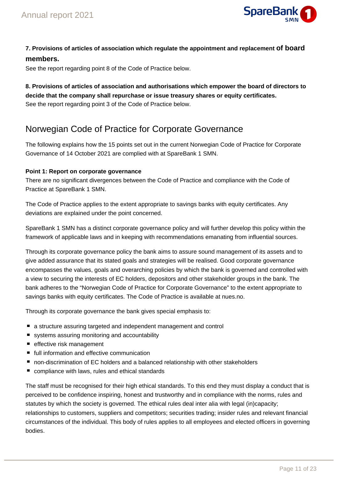

### **7. Provisions of articles of association which regulate the appointment and replacement of board members.**

See the report regarding point 8 of the Code of Practice below.

**8. Provisions of articles of association and authorisations which empower the board of directors to decide that the company shall repurchase or issue treasury shares or equity certificates.** See the report regarding point 3 of the Code of Practice below.

## Norwegian Code of Practice for Corporate Governance

The following explains how the 15 points set out in the current Norwegian Code of Practice for Corporate Governance of 14 October 2021 are complied with at SpareBank 1 SMN.

#### **Point 1: Report on corporate governance**

There are no significant divergences between the Code of Practice and compliance with the Code of Practice at SpareBank 1 SMN.

The Code of Practice applies to the extent appropriate to savings banks with equity certificates. Any deviations are explained under the point concerned.

SpareBank 1 SMN has a distinct corporate governance policy and will further develop this policy within the framework of applicable laws and in keeping with recommendations emanating from influential sources.

Through its corporate governance policy the bank aims to assure sound management of its assets and to give added assurance that its stated goals and strategies will be realised. Good corporate governance encompasses the values, goals and overarching policies by which the bank is governed and controlled with a view to securing the interests of EC holders, depositors and other stakeholder groups in the bank. The bank adheres to the "Norwegian Code of Practice for Corporate Governance" to the extent appropriate to savings banks with equity certificates. The Code of Practice is available at nues.no.

Through its corporate governance the bank gives special emphasis to:

- a structure assuring targeted and independent management and control
- systems assuring monitoring and accountability
- effective risk management
- full information and effective communication
- non-discrimination of EC holders and a balanced relationship with other stakeholders
- compliance with laws, rules and ethical standards

The staff must be recognised for their high ethical standards. To this end they must display a conduct that is perceived to be confidence inspiring, honest and trustworthy and in compliance with the norms, rules and statutes by which the society is governed. The ethical rules deal inter alia with legal (in)capacity; relationships to customers, suppliers and competitors; securities trading; insider rules and relevant financial circumstances of the individual. This body of rules applies to all employees and elected officers in governing bodies.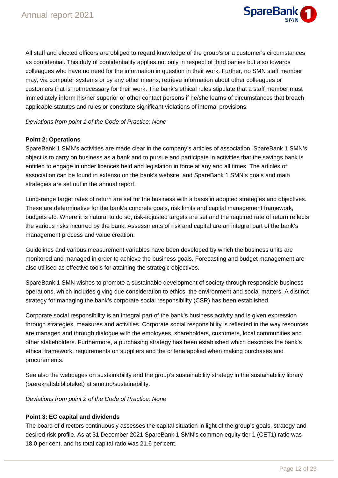

All staff and elected officers are obliged to regard knowledge of the group's or a customer's circumstances as confidential. This duty of confidentiality applies not only in respect of third parties but also towards colleagues who have no need for the information in question in their work. Further, no SMN staff member may, via computer systems or by any other means, retrieve information about other colleagues or customers that is not necessary for their work. The bank's ethical rules stipulate that a staff member must immediately inform his/her superior or other contact persons if he/she learns of circumstances that breach applicable statutes and rules or constitute significant violations of internal provisions.

#### Deviations from point 1 of the Code of Practice: None

#### **Point 2: Operations**

SpareBank 1 SMN's activities are made clear in the company's articles of association. SpareBank 1 SMN's object is to carry on business as a bank and to pursue and participate in activities that the savings bank is entitled to engage in under licences held and legislation in force at any and all times. The articles of association can be found in extenso on the bank's website, and SpareBank 1 SMN's goals and main strategies are set out in the annual report.

Long-range target rates of return are set for the business with a basis in adopted strategies and objectives. These are determinative for the bank's concrete goals, risk limits and capital management framework, budgets etc. Where it is natural to do so, risk-adjusted targets are set and the required rate of return reflects the various risks incurred by the bank. Assessments of risk and capital are an integral part of the bank's management process and value creation.

Guidelines and various measurement variables have been developed by which the business units are monitored and managed in order to achieve the business goals. Forecasting and budget management are also utilised as effective tools for attaining the strategic objectives.

SpareBank 1 SMN wishes to promote a sustainable development of society through responsible business operations, which includes giving due consideration to ethics, the environment and social matters. A distinct strategy for managing the bank's corporate social responsibility (CSR) has been established.

Corporate social responsibility is an integral part of the bank's business activity and is given expression through strategies, measures and activities. Corporate social responsibility is reflected in the way resources are managed and through dialogue with the employees, shareholders, customers, local communities and other stakeholders. Furthermore, a purchasing strategy has been established which describes the bank's ethical framework, requirements on suppliers and the criteria applied when making purchases and procurements.

See also the webpages on sustainability and the group's sustainability strategy in the sustainability library (bærekraftsbiblioteket) at smn.no/sustainability.

Deviations from point 2 of the Code of Practice: None

#### **Point 3: EC capital and dividends**

The board of directors continuously assesses the capital situation in light of the group's goals, strategy and desired risk profile. As at 31 December 2021 SpareBank 1 SMN's common equity tier 1 (CET1) ratio was 18.0 per cent, and its total capital ratio was 21.6 per cent.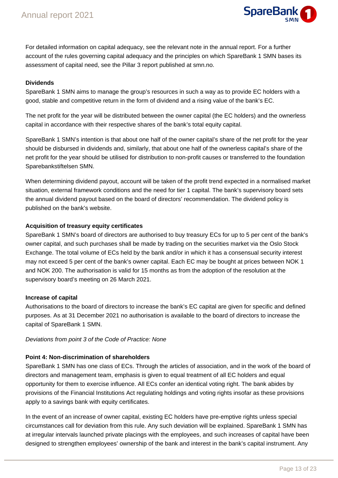

For detailed information on capital adequacy, see the relevant note in the annual report. For a further account of the rules governing capital adequacy and the principles on which SpareBank 1 SMN bases its assessment of capital need, see the Pillar 3 report published at smn.no.

#### **Dividends**

SpareBank 1 SMN aims to manage the group's resources in such a way as to provide EC holders with a good, stable and competitive return in the form of dividend and a rising value of the bank's EC.

The net profit for the year will be distributed between the owner capital (the EC holders) and the ownerless capital in accordance with their respective shares of the bank's total equity capital.

SpareBank 1 SMN's intention is that about one half of the owner capital's share of the net profit for the year should be disbursed in dividends and, similarly, that about one half of the ownerless capital's share of the net profit for the year should be utilised for distribution to non-profit causes or transferred to the foundation Sparebankstiftelsen SMN.

When determining dividend payout, account will be taken of the profit trend expected in a normalised market situation, external framework conditions and the need for tier 1 capital. The bank's supervisory board sets the annual dividend payout based on the board of directors' recommendation. The dividend policy is published on the bank's website.

#### **Acquisition of treasury equity certificates**

SpareBank 1 SMN's board of directors are authorised to buy treasury ECs for up to 5 per cent of the bank's owner capital, and such purchases shall be made by trading on the securities market via the Oslo Stock Exchange. The total volume of ECs held by the bank and/or in which it has a consensual security interest may not exceed 5 per cent of the bank's owner capital. Each EC may be bought at prices between NOK 1 and NOK 200. The authorisation is valid for 15 months as from the adoption of the resolution at the supervisory board's meeting on 26 March 2021.

#### **Increase of capital**

Authorisations to the board of directors to increase the bank's EC capital are given for specific and defined purposes. As at 31 December 2021 no authorisation is available to the board of directors to increase the capital of SpareBank 1 SMN.

Deviations from point 3 of the Code of Practice: None

#### **Point 4: Non-discrimination of shareholders**

SpareBank 1 SMN has one class of ECs. Through the articles of association, and in the work of the board of directors and management team, emphasis is given to equal treatment of all EC holders and equal opportunity for them to exercise influence. All ECs confer an identical voting right. The bank abides by provisions of the Financial Institutions Act regulating holdings and voting rights insofar as these provisions apply to a savings bank with equity certificates.

In the event of an increase of owner capital, existing EC holders have pre-emptive rights unless special circumstances call for deviation from this rule. Any such deviation will be explained. SpareBank 1 SMN has at irregular intervals launched private placings with the employees, and such increases of capital have been designed to strengthen employees' ownership of the bank and interest in the bank's capital instrument. Any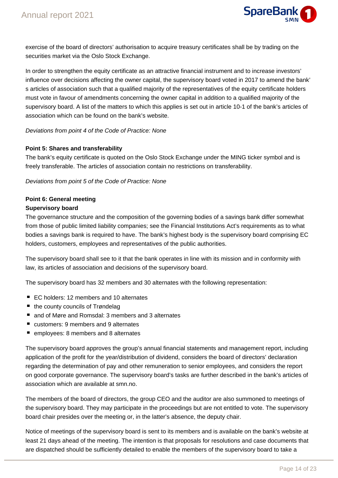

exercise of the board of directors' authorisation to acquire treasury certificates shall be by trading on the securities market via the Oslo Stock Exchange.

In order to strengthen the equity certificate as an attractive financial instrument and to increase investors' influence over decisions affecting the owner capital, the supervisory board voted in 2017 to amend the bank' s articles of association such that a qualified majority of the representatives of the equity certificate holders must vote in favour of amendments concerning the owner capital in addition to a qualified majority of the supervisory board. A list of the matters to which this applies is set out in article 10-1 of the bank's articles of association which can be found on the bank's website.

#### Deviations from point 4 of the Code of Practice: None

#### **Point 5: Shares and transferability**

The bank's equity certificate is quoted on the Oslo Stock Exchange under the MING ticker symbol and is freely transferable. The articles of association contain no restrictions on transferability.

#### Deviations from point 5 of the Code of Practice: None

### **Point 6: General meeting**

#### **Supervisory board**

The governance structure and the composition of the governing bodies of a savings bank differ somewhat from those of public limited liability companies; see the Financial Institutions Act's requirements as to what bodies a savings bank is required to have. The bank's highest body is the supervisory board comprising EC holders, customers, employees and representatives of the public authorities.

The supervisory board shall see to it that the bank operates in line with its mission and in conformity with law, its articles of association and decisions of the supervisory board.

The supervisory board has 32 members and 30 alternates with the following representation:

- EC holders: 12 members and 10 alternates
- the county councils of Trøndelag
- and of Møre and Romsdal: 3 members and 3 alternates
- customers: 9 members and 9 alternates
- employees: 8 members and 8 alternates

The supervisory board approves the group's annual financial statements and management report, including application of the profit for the year/distribution of dividend, considers the board of directors' declaration regarding the determination of pay and other remuneration to senior employees, and considers the report on good corporate governance. The supervisory board's tasks are further described in the bank's articles of association which are available at smn.no.

The members of the board of directors, the group CEO and the auditor are also summoned to meetings of the supervisory board. They may participate in the proceedings but are not entitled to vote. The supervisory board chair presides over the meeting or, in the latter's absence, the deputy chair.

Notice of meetings of the supervisory board is sent to its members and is available on the bank's website at least 21 days ahead of the meeting. The intention is that proposals for resolutions and case documents that are dispatched should be sufficiently detailed to enable the members of the supervisory board to take a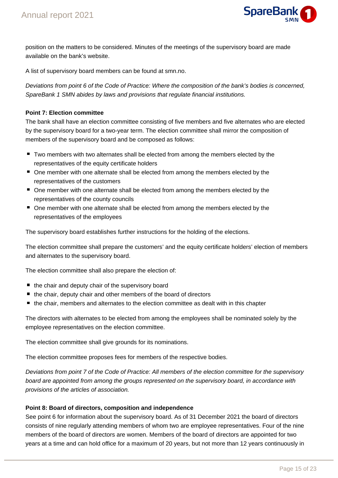

position on the matters to be considered. Minutes of the meetings of the supervisory board are made available on the bank's website.

A list of supervisory board members can be found at smn.no.

Deviations from point 6 of the Code of Practice: Where the composition of the bank's bodies is concerned, SpareBank 1 SMN abides by laws and provisions that regulate financial institutions.

#### **Point 7: Election committee**

The bank shall have an election committee consisting of five members and five alternates who are elected by the supervisory board for a two-year term. The election committee shall mirror the composition of members of the supervisory board and be composed as follows:

- Two members with two alternates shall be elected from among the members elected by the representatives of the equity certificate holders
- One member with one alternate shall be elected from among the members elected by the representatives of the customers
- One member with one alternate shall be elected from among the members elected by the representatives of the county councils
- One member with one alternate shall be elected from among the members elected by the representatives of the employees

The supervisory board establishes further instructions for the holding of the elections.

The election committee shall prepare the customers' and the equity certificate holders' election of members and alternates to the supervisory board.

The election committee shall also prepare the election of:

- $\blacksquare$  the chair and deputy chair of the supervisory board
- the chair, deputy chair and other members of the board of directors
- $\blacksquare$  the chair, members and alternates to the election committee as dealt with in this chapter

The directors with alternates to be elected from among the employees shall be nominated solely by the employee representatives on the election committee.

The election committee shall give grounds for its nominations.

The election committee proposes fees for members of the respective bodies.

Deviations from point 7 of the Code of Practice: All members of the election committee for the supervisory board are appointed from among the groups represented on the supervisory board, in accordance with provisions of the articles of association.

#### **Point 8: Board of directors, composition and independence**

See point 6 for information about the supervisory board. As of 31 December 2021 the board of directors consists of nine regularly attending members of whom two are employee representatives. Four of the nine members of the board of directors are women. Members of the board of directors are appointed for two years at a time and can hold office for a maximum of 20 years, but not more than 12 years continuously in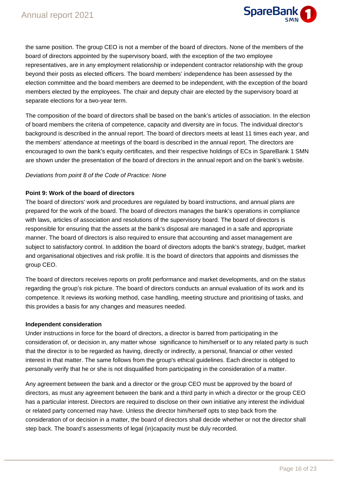

the same position. The group CEO is not a member of the board of directors. None of the members of the board of directors appointed by the supervisory board, with the exception of the two employee representatives, are in any employment relationship or independent contractor relationship with the group beyond their posts as elected officers. The board members' independence has been assessed by the election committee and the board members are deemed to be independent, with the exception of the board members elected by the employees. The chair and deputy chair are elected by the supervisory board at separate elections for a two-year term.

The composition of the board of directors shall be based on the bank's articles of association. In the election of board members the criteria of competence, capacity and diversity are in focus. The individual director's background is described in the annual report. The board of directors meets at least 11 times each year, and the members' attendance at meetings of the board is described in the annual report. The directors are encouraged to own the bank's equity certificates, and their respective holdings of ECs in SpareBank 1 SMN are shown under the presentation of the board of directors in the annual report and on the bank's website.

#### Deviations from point 8 of the Code of Practice: None

#### **Point 9: Work of the board of directors**

The board of directors' work and procedures are regulated by board instructions, and annual plans are prepared for the work of the board. The board of directors manages the bank's operations in compliance with laws, articles of association and resolutions of the supervisory board. The board of directors is responsible for ensuring that the assets at the bank's disposal are managed in a safe and appropriate manner. The board of directors is also required to ensure that accounting and asset management are subject to satisfactory control. In addition the board of directors adopts the bank's strategy, budget, market and organisational objectives and risk profile. It is the board of directors that appoints and dismisses the group CEO.

The board of directors receives reports on profit performance and market developments, and on the status regarding the group's risk picture. The board of directors conducts an annual evaluation of its work and its competence. It reviews its working method, case handling, meeting structure and prioritising of tasks, and this provides a basis for any changes and measures needed.

#### **Independent consideration**

Under instructions in force for the board of directors, a director is barred from participating in the consideration of, or decision in, any matter whose significance to him/herself or to any related party is such that the director is to be regarded as having, directly or indirectly, a personal, financial or other vested interest in that matter. The same follows from the group's ethical guidelines. Each director is obliged to personally verify that he or she is not disqualified from participating in the consideration of a matter.

Any agreement between the bank and a director or the group CEO must be approved by the board of directors, as must any agreement between the bank and a third party in which a director or the group CEO has a particular interest. Directors are required to disclose on their own initiative any interest the individual or related party concerned may have. Unless the director him/herself opts to step back from the consideration of or decision in a matter, the board of directors shall decide whether or not the director shall step back. The board's assessments of legal (in)capacity must be duly recorded.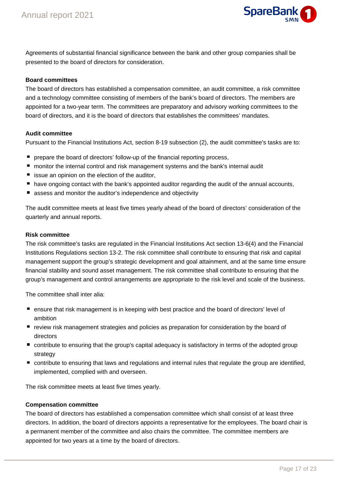

Agreements of substantial financial significance between the bank and other group companies shall be presented to the board of directors for consideration.

#### **Board committees**

The board of directors has established a compensation committee, an audit committee, a risk committee and a technology committee consisting of members of the bank's board of directors. The members are appointed for a two-year term. The committees are preparatory and advisory working committees to the board of directors, and it is the board of directors that establishes the committees' mandates.

#### **Audit committee**

Pursuant to the Financial Institutions Act, section 8-19 subsection (2), the audit committee's tasks are to:

- **P** prepare the board of directors' follow-up of the financial reporting process,
- monitor the internal control and risk management systems and the bank's internal audit
- $\blacksquare$  issue an opinion on the election of the auditor,
- $\blacksquare$  have ongoing contact with the bank's appointed auditor regarding the audit of the annual accounts,
- assess and monitor the auditor's independence and objectivity

The audit committee meets at least five times yearly ahead of the board of directors' consideration of the quarterly and annual reports.

#### **Risk committee**

The risk committee's tasks are regulated in the Financial Institutions Act section 13-6(4) and the Financial Institutions Regulations section 13-2. The risk committee shall contribute to ensuring that risk and capital management support the group's strategic development and goal attainment, and at the same time ensure financial stability and sound asset management. The risk committee shall contribute to ensuring that the group's management and control arrangements are appropriate to the risk level and scale of the business.

The committee shall inter alia:

- ensure that risk management is in keeping with best practice and the board of directors' level of ambition
- **P** review risk management strategies and policies as preparation for consideration by the board of directors
- contribute to ensuring that the group's capital adequacy is satisfactory in terms of the adopted group strategy
- contribute to ensuring that laws and regulations and internal rules that regulate the group are identified, implemented, complied with and overseen.

The risk committee meets at least five times yearly.

#### **Compensation committee**

The board of directors has established a compensation committee which shall consist of at least three directors. In addition, the board of directors appoints a representative for the employees. The board chair is a permanent member of the committee and also chairs the committee. The committee members are appointed for two years at a time by the board of directors.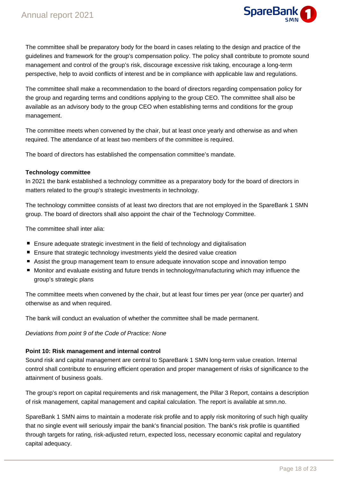

The committee shall be preparatory body for the board in cases relating to the design and practice of the guidelines and framework for the group's compensation policy. The policy shall contribute to promote sound management and control of the group's risk, discourage excessive risk taking, encourage a long-term perspective, help to avoid conflicts of interest and be in compliance with applicable law and regulations.

The committee shall make a recommendation to the board of directors regarding compensation policy for the group and regarding terms and conditions applying to the group CEO. The committee shall also be available as an advisory body to the group CEO when establishing terms and conditions for the group management.

The committee meets when convened by the chair, but at least once yearly and otherwise as and when required. The attendance of at least two members of the committee is required.

The board of directors has established the compensation committee's mandate.

#### **Technology committee**

In 2021 the bank established a technology committee as a preparatory body for the board of directors in matters related to the group's strategic investments in technology.

The technology committee consists of at least two directors that are not employed in the SpareBank 1 SMN group. The board of directors shall also appoint the chair of the Technology Committee.

The committee shall inter alia:

- **Ensure adequate strategic investment in the field of technology and digitalisation**
- **Ensure that strategic technology investments yield the desired value creation**
- Assist the group management team to ensure adequate innovation scope and innovation tempo
- Monitor and evaluate existing and future trends in technology/manufacturing which may influence the group's strategic plans

The committee meets when convened by the chair, but at least four times per year (once per quarter) and otherwise as and when required.

The bank will conduct an evaluation of whether the committee shall be made permanent.

Deviations from point 9 of the Code of Practice: None

#### **Point 10: Risk management and internal control**

Sound risk and capital management are central to SpareBank 1 SMN long-term value creation. Internal control shall contribute to ensuring efficient operation and proper management of risks of significance to the attainment of business goals.

The group's report on capital requirements and risk management, the Pillar 3 Report, contains a description of risk management, capital management and capital calculation. The report is available at smn.no.

SpareBank 1 SMN aims to maintain a moderate risk profile and to apply risk monitoring of such high quality that no single event will seriously impair the bank's financial position. The bank's risk profile is quantified through targets for rating, risk-adjusted return, expected loss, necessary economic capital and regulatory capital adequacy.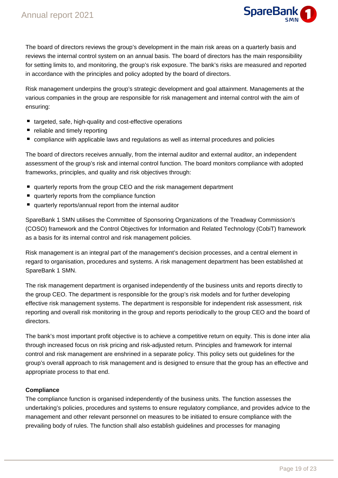

The board of directors reviews the group's development in the main risk areas on a quarterly basis and reviews the internal control system on an annual basis. The board of directors has the main responsibility for setting limits to, and monitoring, the group's risk exposure. The bank's risks are measured and reported in accordance with the principles and policy adopted by the board of directors.

Risk management underpins the group's strategic development and goal attainment. Managements at the various companies in the group are responsible for risk management and internal control with the aim of ensuring:

- targeted, safe, high-quality and cost-effective operations
- reliable and timely reporting
- compliance with applicable laws and regulations as well as internal procedures and policies

The board of directors receives annually, from the internal auditor and external auditor, an independent assessment of the group's risk and internal control function. The board monitors compliance with adopted frameworks, principles, and quality and risk objectives through:

- quarterly reports from the group CEO and the risk management department
- quarterly reports from the compliance function
- quarterly reports/annual report from the internal auditor

SpareBank 1 SMN utilises the Committee of Sponsoring Organizations of the Treadway Commission's (COSO) framework and the Control Objectives for Information and Related Technology (CobiT) framework as a basis for its internal control and risk management policies.

Risk management is an integral part of the management's decision processes, and a central element in regard to organisation, procedures and systems. A risk management department has been established at SpareBank 1 SMN.

The risk management department is organised independently of the business units and reports directly to the group CEO. The department is responsible for the group's risk models and for further developing effective risk management systems. The department is responsible for independent risk assessment, risk reporting and overall risk monitoring in the group and reports periodically to the group CEO and the board of directors.

The bank's most important profit objective is to achieve a competitive return on equity. This is done inter alia through increased focus on risk pricing and risk-adjusted return. Principles and framework for internal control and risk management are enshrined in a separate policy. This policy sets out guidelines for the group's overall approach to risk management and is designed to ensure that the group has an effective and appropriate process to that end.

#### **Compliance**

The compliance function is organised independently of the business units. The function assesses the undertaking's policies, procedures and systems to ensure regulatory compliance, and provides advice to the management and other relevant personnel on measures to be initiated to ensure compliance with the prevailing body of rules. The function shall also establish guidelines and processes for managing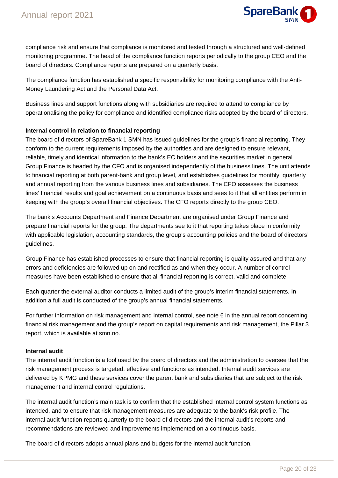

compliance risk and ensure that compliance is monitored and tested through a structured and well-defined monitoring programme. The head of the compliance function reports periodically to the group CEO and the board of directors. Compliance reports are prepared on a quarterly basis.

The compliance function has established a specific responsibility for monitoring compliance with the Anti-Money Laundering Act and the Personal Data Act.

Business lines and support functions along with subsidiaries are required to attend to compliance by operationalising the policy for compliance and identified compliance risks adopted by the board of directors.

#### **Internal control in relation to financial reporting**

The board of directors of SpareBank 1 SMN has issued guidelines for the group's financial reporting. They conform to the current requirements imposed by the authorities and are designed to ensure relevant, reliable, timely and identical information to the bank's EC holders and the securities market in general. Group Finance is headed by the CFO and is organised independently of the business lines. The unit attends to financial reporting at both parent-bank and group level, and establishes guidelines for monthly, quarterly and annual reporting from the various business lines and subsidiaries. The CFO assesses the business lines' financial results and goal achievement on a continuous basis and sees to it that all entities perform in keeping with the group's overall financial objectives. The CFO reports directly to the group CEO.

The bank's Accounts Department and Finance Department are organised under Group Finance and prepare financial reports for the group. The departments see to it that reporting takes place in conformity with applicable legislation, accounting standards, the group's accounting policies and the board of directors' guidelines.

Group Finance has established processes to ensure that financial reporting is quality assured and that any errors and deficiencies are followed up on and rectified as and when they occur. A number of control measures have been established to ensure that all financial reporting is correct, valid and complete.

Each quarter the external auditor conducts a limited audit of the group's interim financial statements. In addition a full audit is conducted of the group's annual financial statements.

For further information on risk management and internal control, see note 6 in the annual report concerning financial risk management and the group's report on capital requirements and risk management, the Pillar 3 report, which is available at smn.no.

#### **Internal audit**

The internal audit function is a tool used by the board of directors and the administration to oversee that the risk management process is targeted, effective and functions as intended. Internal audit services are delivered by KPMG and these services cover the parent bank and subsidiaries that are subject to the risk management and internal control regulations.

The internal audit function's main task is to confirm that the established internal control system functions as intended, and to ensure that risk management measures are adequate to the bank's risk profile. The internal audit function reports quarterly to the board of directors and the internal audit's reports and recommendations are reviewed and improvements implemented on a continuous basis.

The board of directors adopts annual plans and budgets for the internal audit function.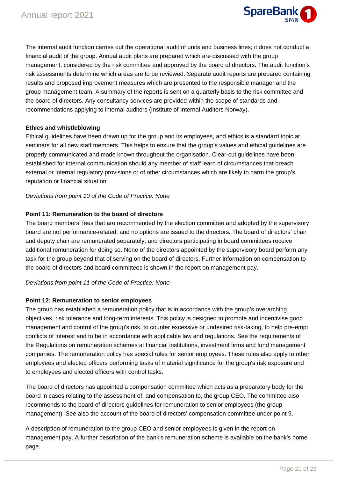

The internal audit function carries out the operational audit of units and business lines; it does not conduct a financial audit of the group. Annual audit plans are prepared which are discussed with the group management, considered by the risk committee and approved by the board of directors. The audit function's risk assessments determine which areas are to be reviewed. Separate audit reports are prepared containing results and proposed improvement measures which are presented to the responsible manager and the group management team. A summary of the reports is sent on a quarterly basis to the risk committee and the board of directors. Any consultancy services are provided within the scope of standards and recommendations applying to internal auditors (Institute of Internal Auditors Norway).

#### **Ethics and whistleblowing**

Ethical guidelines have been drawn up for the group and its employees, and ethics is a standard topic at seminars for all new staff members. This helps to ensure that the group's values and ethical guidelines are properly communicated and made known throughout the organisation. Clear-cut guidelines have been established for internal communication should any member of staff learn of circumstances that breach external or internal regulatory provisions or of other circumstances which are likely to harm the group's reputation or financial situation.

#### Deviations from point 10 of the Code of Practice: None

#### **Point 11: Remuneration to the board of directors**

The board members' fees that are recommended by the election committee and adopted by the supervisory board are not performance-related, and no options are issued to the directors. The board of directors' chair and deputy chair are remunerated separately, and directors participating in board committees receive additional remuneration for doing so. None of the directors appointed by the supervisory board perform any task for the group beyond that of serving on the board of directors. Further information on compensation to the board of directors and board committees is shown in the report on management pay.

#### Deviations from point 11 of the Code of Practice: None

#### **Point 12: Remuneration to senior employees**

The group has established a remuneration policy that is in accordance with the group's overarching objectives, risk tolerance and long-term interests. This policy is designed to promote and incentivise good management and control of the group's risk, to counter excessive or undesired risk-taking, to help pre-empt conflicts of interest and to be in accordance with applicable law and regulations. See the requirements of the Regulations on remuneration schemes at financial institutions, investment firms and fund management companies. The remuneration policy has special rules for senior employees. These rules also apply to other employees and elected officers performing tasks of material significance for the group's risk exposure and to employees and elected officers with control tasks.

The board of directors has appointed a compensation committee which acts as a preparatory body for the board in cases relating to the assessment of, and compensation to, the group CEO. The committee also recommends to the board of directors guidelines for remuneration to senior employees (the group management). See also the account of the board of directors' compensation committee under point 9.

A description of remuneration to the group CEO and senior employees is given in the report on management pay. A further description of the bank's remuneration scheme is available on the bank's home page.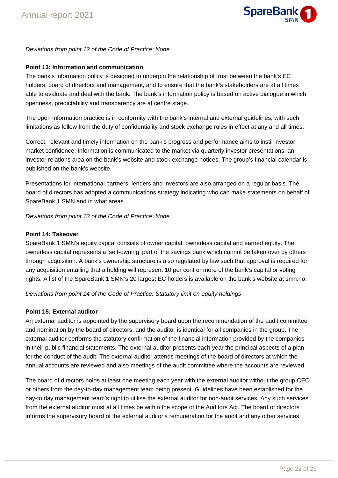

#### Deviations from point 12 of the Code of Practice: None

#### **Point 13: Information and communication**

The bank's information policy is designed to underpin the relationship of trust between the bank's EC holders, board of directors and management, and to ensure that the bank's stakeholders are at all times able to evaluate and deal with the bank. The bank's information policy is based on active dialogue in which openness, predictability and transparency are at centre stage.

The open information practice is in conformity with the bank's internal and external guidelines, with such limitations as follow from the duty of confidentiality and stock exchange rules in effect at any and all times.

Correct, relevant and timely information on the bank's progress and performance aims to instil investor market confidence. Information is communicated to the market via quarterly investor presentations, an investor relations area on the bank's website and stock exchange notices. The group's financial calendar is published on the bank's website.

Presentations for international partners, lenders and investors are also arranged on a regular basis. The board of directors has adopted a communications strategy indicating who can make statements on behalf of SpareBank 1 SMN and in what areas.

Deviations from point 13 of the Code of Practice: None

#### **Point 14: Takeover**

SpareBank 1 SMN's equity capital consists of owner capital, ownerless capital and earned equity. The ownerless capital represents a 'self-owning' part of the savings bank which cannot be taken over by others through acquisition. A bank's ownership structure is also regulated by law such that approval is required for any acquisition entailing that a holding will represent 10 per cent or more of the bank's capital or voting rights. A list of the SpareBank 1 SMN's 20 largest EC holders is available on the bank's website at smn.no.

Deviations from point 14 of the Code of Practice: Statutory limit on equity holdings

#### **Point 15: External auditor**

An external auditor is appointed by the supervisory board upon the recommendation of the audit committee and nomination by the board of directors, and the auditor is identical for all companies in the group. The external auditor performs the statutory confirmation of the financial information provided by the companies in their public financial statements. The external auditor presents each year the principal aspects of a plan for the conduct of the audit. The external auditor attends meetings of the board of directors at which the annual accounts are reviewed and also meetings of the audit committee where the accounts are reviewed.

The board of directors holds at least one meeting each year with the external auditor without the group CEO or others from the day-to-day management team being present. Guidelines have been established for the day-to day management team's right to utilise the external auditor for non-audit services. Any such services from the external auditor must at all times be within the scope of the Auditors Act. The board of directors informs the supervisory board of the external auditor's remuneration for the audit and any other services.